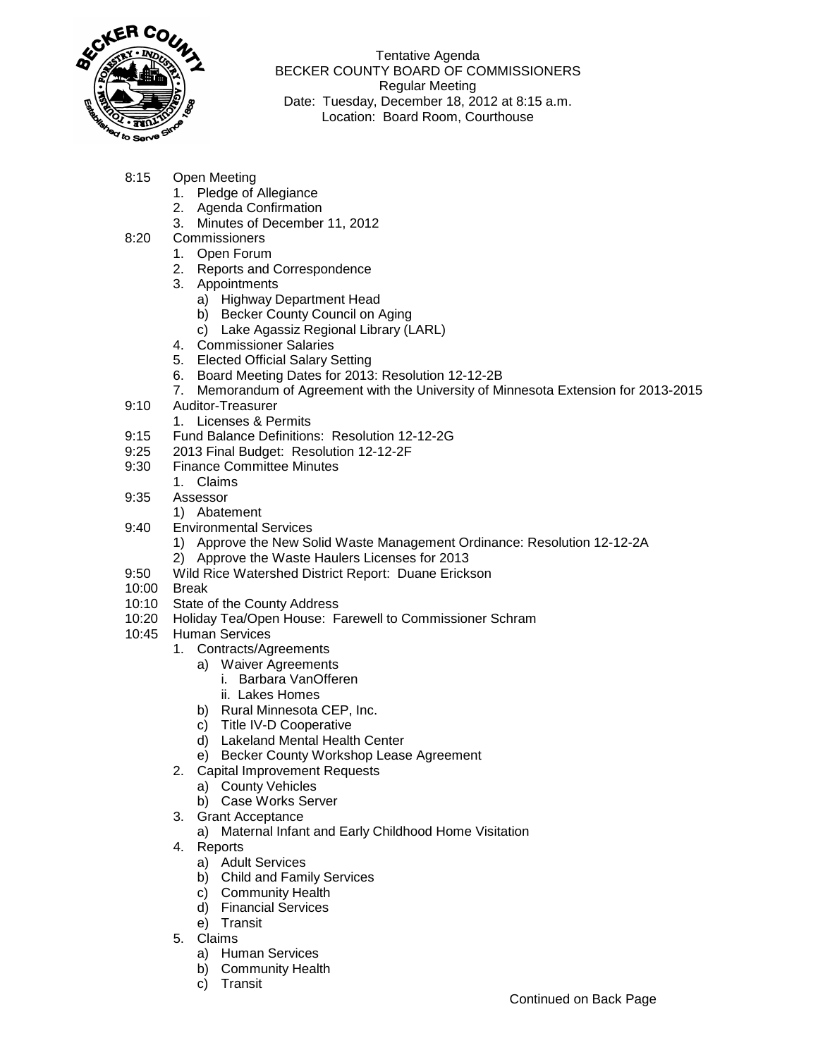

Tentative Agenda BECKER COUNTY BOARD OF COMMISSIONERS Regular Meeting Date: Tuesday, December 18, 2012 at 8:15 a.m. Location: Board Room, Courthouse

- 8:15 Open Meeting
	- 1. Pledge of Allegiance
	- 2. Agenda Confirmation
	- 3. Minutes of December 11, 2012
- 8:20 Commissioners
	- 1. Open Forum
		- 2. Reports and Correspondence
		- 3. Appointments
			- a) Highway Department Head
			- b) Becker County Council on Aging
			- c) Lake Agassiz Regional Library (LARL)
		- 4. Commissioner Salaries
		- 5. Elected Official Salary Setting
		- 6. Board Meeting Dates for 2013: Resolution 12-12-2B
	- 7. Memorandum of Agreement with the University of Minnesota Extension for 2013-2015
- 9:10 Auditor-Treasurer
	- 1. Licenses & Permits
- 9:15 Fund Balance Definitions: Resolution 12-12-2G
- 9:25 2013 Final Budget: Resolution 12-12-2F
- 9:30 Finance Committee Minutes
	- 1. Claims
- 9:35 Assessor
	- 1) Abatement
- 9:40 Environmental Services
	- 1) Approve the New Solid Waste Management Ordinance: Resolution 12-12-2A
	- 2) Approve the Waste Haulers Licenses for 2013
- 9:50 Wild Rice Watershed District Report: Duane Erickson
- 10:00 Break
- 10:10 State of the County Address
- 10:20 Holiday Tea/Open House: Farewell to Commissioner Schram
- 10:45 Human Services
	- 1. Contracts/Agreements
		- a) Waiver Agreements
			- i. Barbara VanOfferen
			- ii. Lakes Homes
		- b) Rural Minnesota CEP, Inc.
		- c) Title IV-D Cooperative
		- d) Lakeland Mental Health Center
		- e) Becker County Workshop Lease Agreement
	- 2. Capital Improvement Requests
	- a) County Vehicles
		- b) Case Works Server
	- 3. Grant Acceptance
		- a) Maternal Infant and Early Childhood Home Visitation
	- 4. Reports
		- a) Adult Services
		- b) Child and Family Services
		- c) Community Health
		- d) Financial Services
		- e) Transit
	- 5. Claims
		- a) Human Services
		- b) Community Health
		- c) Transit